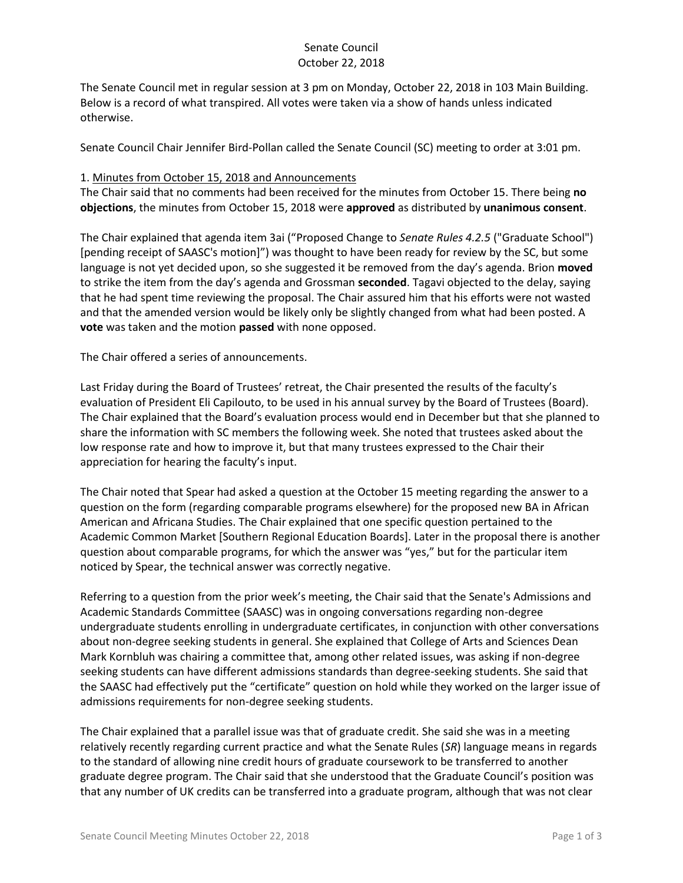### Senate Council October 22, 2018

The Senate Council met in regular session at 3 pm on Monday, October 22, 2018 in 103 Main Building. Below is a record of what transpired. All votes were taken via a show of hands unless indicated otherwise.

Senate Council Chair Jennifer Bird-Pollan called the Senate Council (SC) meeting to order at 3:01 pm.

#### 1. Minutes from October 15, 2018 and Announcements

The Chair said that no comments had been received for the minutes from October 15. There being **no objections**, the minutes from October 15, 2018 were **approved** as distributed by **unanimous consent**.

The Chair explained that agenda item 3ai ("Proposed Change to *Senate Rules 4.2.5* ("Graduate School") [pending receipt of SAASC's motion]") was thought to have been ready for review by the SC, but some language is not yet decided upon, so she suggested it be removed from the day's agenda. Brion **moved** to strike the item from the day's agenda and Grossman **seconded**. Tagavi objected to the delay, saying that he had spent time reviewing the proposal. The Chair assured him that his efforts were not wasted and that the amended version would be likely only be slightly changed from what had been posted. A **vote** was taken and the motion **passed** with none opposed.

The Chair offered a series of announcements.

Last Friday during the Board of Trustees' retreat, the Chair presented the results of the faculty's evaluation of President Eli Capilouto, to be used in his annual survey by the Board of Trustees (Board). The Chair explained that the Board's evaluation process would end in December but that she planned to share the information with SC members the following week. She noted that trustees asked about the low response rate and how to improve it, but that many trustees expressed to the Chair their appreciation for hearing the faculty's input.

The Chair noted that Spear had asked a question at the October 15 meeting regarding the answer to a question on the form (regarding comparable programs elsewhere) for the proposed new BA in African American and Africana Studies. The Chair explained that one specific question pertained to the Academic Common Market [Southern Regional Education Boards]. Later in the proposal there is another question about comparable programs, for which the answer was "yes," but for the particular item noticed by Spear, the technical answer was correctly negative.

Referring to a question from the prior week's meeting, the Chair said that the Senate's Admissions and Academic Standards Committee (SAASC) was in ongoing conversations regarding non-degree undergraduate students enrolling in undergraduate certificates, in conjunction with other conversations about non-degree seeking students in general. She explained that College of Arts and Sciences Dean Mark Kornbluh was chairing a committee that, among other related issues, was asking if non-degree seeking students can have different admissions standards than degree-seeking students. She said that the SAASC had effectively put the "certificate" question on hold while they worked on the larger issue of admissions requirements for non-degree seeking students.

The Chair explained that a parallel issue was that of graduate credit. She said she was in a meeting relatively recently regarding current practice and what the Senate Rules (*SR*) language means in regards to the standard of allowing nine credit hours of graduate coursework to be transferred to another graduate degree program. The Chair said that she understood that the Graduate Council's position was that any number of UK credits can be transferred into a graduate program, although that was not clear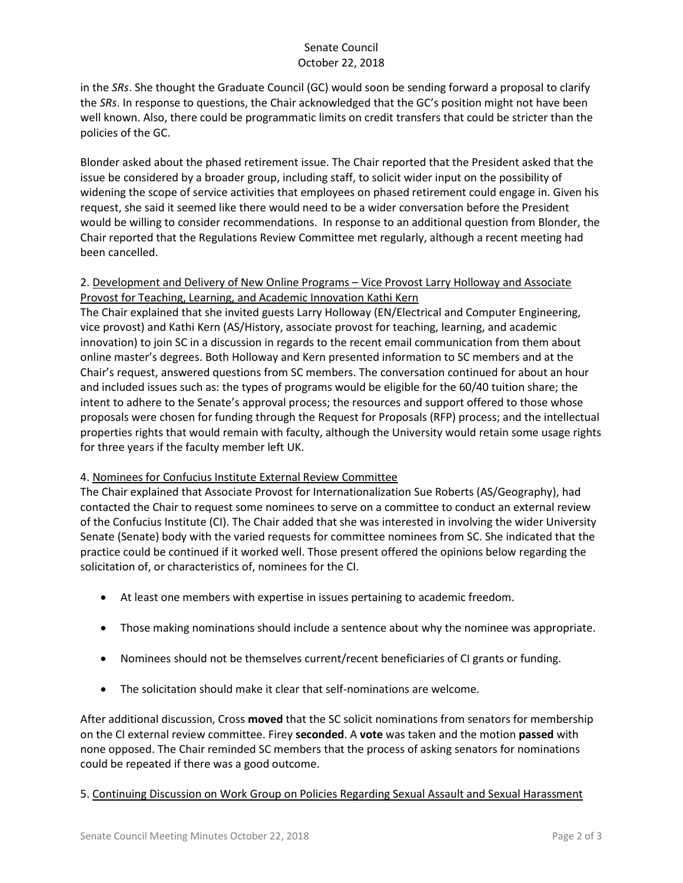# Senate Council October 22, 2018

in the *SRs*. She thought the Graduate Council (GC) would soon be sending forward a proposal to clarify the *SRs*. In response to questions, the Chair acknowledged that the GC's position might not have been well known. Also, there could be programmatic limits on credit transfers that could be stricter than the policies of the GC.

Blonder asked about the phased retirement issue. The Chair reported that the President asked that the issue be considered by a broader group, including staff, to solicit wider input on the possibility of widening the scope of service activities that employees on phased retirement could engage in. Given his request, she said it seemed like there would need to be a wider conversation before the President would be willing to consider recommendations. In response to an additional question from Blonder, the Chair reported that the Regulations Review Committee met regularly, although a recent meeting had been cancelled.

#### 2. Development and Delivery of New Online Programs – Vice Provost Larry Holloway and Associate Provost for Teaching, Learning, and Academic Innovation Kathi Kern

The Chair explained that she invited guests Larry Holloway (EN/Electrical and Computer Engineering, vice provost) and Kathi Kern (AS/History, associate provost for teaching, learning, and academic innovation) to join SC in a discussion in regards to the recent email communication from them about online master's degrees. Both Holloway and Kern presented information to SC members and at the Chair's request, answered questions from SC members. The conversation continued for about an hour and included issues such as: the types of programs would be eligible for the 60/40 tuition share; the intent to adhere to the Senate's approval process; the resources and support offered to those whose proposals were chosen for funding through the Request for Proposals (RFP) process; and the intellectual properties rights that would remain with faculty, although the University would retain some usage rights for three years if the faculty member left UK.

## 4. Nominees for Confucius Institute External Review Committee

The Chair explained that Associate Provost for Internationalization Sue Roberts (AS/Geography), had contacted the Chair to request some nominees to serve on a committee to conduct an external review of the Confucius Institute (CI). The Chair added that she was interested in involving the wider University Senate (Senate) body with the varied requests for committee nominees from SC. She indicated that the practice could be continued if it worked well. Those present offered the opinions below regarding the solicitation of, or characteristics of, nominees for the CI.

- At least one members with expertise in issues pertaining to academic freedom.
- Those making nominations should include a sentence about why the nominee was appropriate.
- Nominees should not be themselves current/recent beneficiaries of CI grants or funding.
- The solicitation should make it clear that self-nominations are welcome.

After additional discussion, Cross **moved** that the SC solicit nominations from senators for membership on the CI external review committee. Firey **seconded**. A **vote** was taken and the motion **passed** with none opposed. The Chair reminded SC members that the process of asking senators for nominations could be repeated if there was a good outcome.

5. Continuing Discussion on Work Group on Policies Regarding Sexual Assault and Sexual Harassment